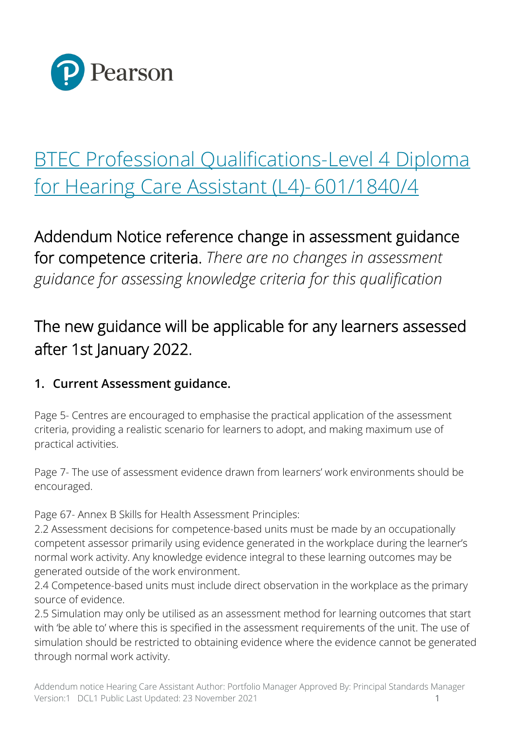

## [BTEC Professional Qualifications-Level 4 Diploma](https://qualifications.pearson.com/content/dam/pdf/BTEC-Professional-Qualifications/Hearing-Care-Assistant/2010/Specification/BTEC_Prof_L4_Iss2.pdf)  [for Hearing Care Assistant \(L4\)-601/1840/4](https://qualifications.pearson.com/content/dam/pdf/BTEC-Professional-Qualifications/Hearing-Care-Assistant/2010/Specification/BTEC_Prof_L4_Iss2.pdf)

Addendum Notice reference change in assessment guidance for competence criteria. *There are no changes in assessment guidance for assessing knowledge criteria for this qualification*

## The new guidance will be applicable for any learners assessed after 1st January 2022.

## **1. Current Assessment guidance.**

Page 5- Centres are encouraged to emphasise the practical application of the assessment criteria, providing a realistic scenario for learners to adopt, and making maximum use of practical activities.

Page 7- The use of assessment evidence drawn from learners' work environments should be encouraged.

Page 67- Annex B Skills for Health Assessment Principles:

2.2 Assessment decisions for competence-based units must be made by an occupationally competent assessor primarily using evidence generated in the workplace during the learner's normal work activity. Any knowledge evidence integral to these learning outcomes may be generated outside of the work environment.

2.4 Competence-based units must include direct observation in the workplace as the primary source of evidence.

2.5 Simulation may only be utilised as an assessment method for learning outcomes that start with 'be able to' where this is specified in the assessment requirements of the unit. The use of simulation should be restricted to obtaining evidence where the evidence cannot be generated through normal work activity.